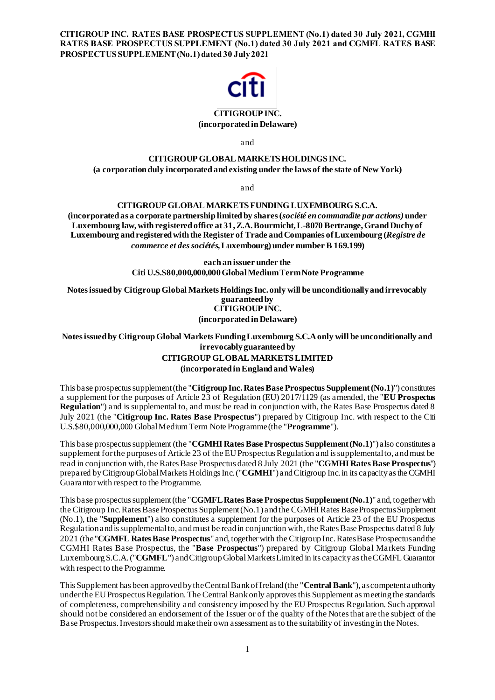**CITIGROUP INC. RATES BASE PROSPECTUS SUPPLEMENT (No.1) dated 30 July 2021, CGMHI RATES BASE PROSPECTUS SUPPLEMENT (No.1) dated 30 July 2021 and CGMFL RATES BASE PROSPECTUS SUPPLEMENT (No.1) dated 30 July 2021**



### **CITIGROUP INC. (incorporated in Delaware)**

and

# **CITIGROUP GLOBAL MARKETS HOLDINGS INC.**

# **(a corporation duly incorporated and existing under the laws of the state of New York)**

and

# **CITIGROUP GLOBAL MARKETS FUNDING LUXEMBOURG S.C.A.**

**(incorporated as a corporate partnership limited by shares (***société en commandite par actions)* **under Luxembourg law, with registered office at 31,Z.A. Bourmicht, L-8070 Bertrange, Grand Duchy of Luxembourg and registered with the Register of Trade and Companies of Luxembourg (***Registre de commerce et des sociétés***, Luxembourg) under number B 169.199)**

> **each an issuer under the Citi U.S.\$80,000,000,000Global Medium Term Note Programme**

**Notes issued by Citigroup Global Markets Holdings Inc. only will be unconditionally and irrevocably guaranteed by CITIGROUP INC. (incorporated in Delaware)**

# **Notes issued by Citigroup Global Markets Funding Luxembourg S.C.A only will be unconditionally and irrevocably guaranteed by CITIGROUP GLOBAL MARKETS LIMITED (incorporated in England and Wales)**

This base prospectus supplement (the "**Citigroup Inc. Rates Base Prospectus Supplement (No.1)**") constitutes a supplement for the purposes of Article 23 of Regulation (EU) 2017/1129 (as amended, the "**EU Prospectus Regulation**") and is supplemental to, and must be read in conjunction with, the Rates Base Prospectus dated 8 July 2021 (the "**Citigroup Inc. Rates Base Prospectus**") prepared by Citigroup Inc. with respect to the Citi U.S.\$80,000,000,000 Global Medium Term Note Programme (the "**Programme**").

This base prospectus supplement (the "**CGMHI Rates Base Prospectus Supplement (No.1)**") also constitutes a supplement for the purposes of Article 23 of the EU Prospectus Regulation and is supplemental to, and must be read in conjunction with, the Rates Base Prospectus dated 8 July 2021 (the "**CGMHI Rates Base Prospectus**") prepared by Citigroup Global Markets Holdings Inc. ("**CGMHI**") and Citigroup Inc. in its capacity as the CGMHI Guarantor with respect to the Programme.

This base prospectus supplement (the "**CGMFL Rates Base Prospectus Supplement (No.1)**" and, together with the Citigroup Inc. Rates Base Prospectus Supplement (No.1) and the CGMHI Rates Base ProspectusSupplement (No.1), the "**Supplement**") also constitutes a supplement for the purposes of Article 23 of the EU Prospectus Regulation and is supplemental to, and must be read in conjunction with, the Rates Base Prospectus dated 8 July 2021 (the "**CGMFL Rates Base Prospectus**" and, together with the Citigroup Inc. Rates Base Prospectus and the CGMHI Rates Base Prospectus, the "**Base Prospectus**") prepared by Citigroup Global Markets Funding Luxembourg S.C.A. ("**CGMFL**") and Citigroup Global Markets Limited in its capacity as the CGMFL Guarantor with respect to the Programme.

This Supplement has been approved by the Central Bank of Ireland (the "**Central Bank**"), as competent authority under the EU Prospectus Regulation. The Central Bank only approves this Supplement as meeting the standards of completeness, comprehensibility and consistency imposed by the EU Prospectus Regulation. Such approval should not be considered an endorsement of the Issuer or of the quality of the Notes that are the subject of the Base Prospectus. Investors should make their own assessment as to the suitability of investing in the Notes.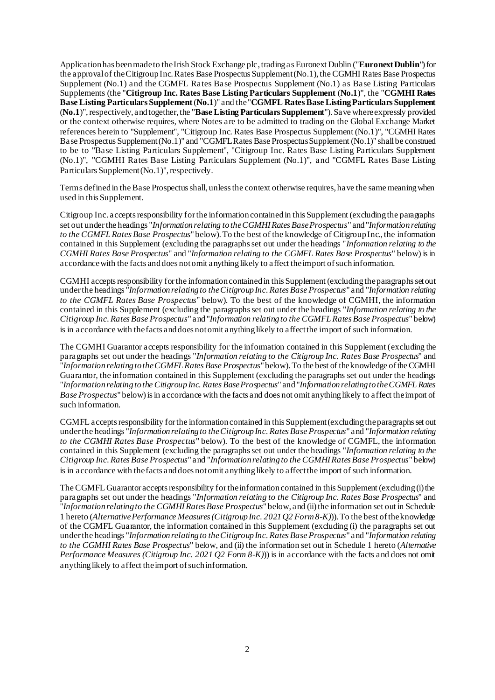Application has been made to the Irish Stock Exchange plc,trading as Euronext Dublin ("**Euronext Dublin**") for the approval of the Citigroup Inc. Rates Base Prospectus Supplement (No.1), the CGMHI Rates Base Prospectus Supplement (No.1) and the CGMFL Rates Base Prospectus Supplement (No.1) as Base Listing Particulars Supplements (the "**Citigroup Inc. Rates Base Listing Particulars Supplement** (**No.1**)", the "**CGMHI Rates Base Listing Particulars Supplement** (**No.1**)" and the "**CGMFL Rates Base Listing Particulars Supplement**  (**No.1**)", respectively, and together, the "**Base Listing Particulars Supplement**"). Save where expressly provided or the context otherwise requires, where Notes are to be admitted to trading on the Global Exchange Market references herein to "Supplement", "Citigroup Inc. Rates Base Prospectus Supplement (No.1)", "CGMHI Rates Base Prospectus Supplement (No.1)" and "CGMFL Rates Base ProspectusSupplement (No.1)" shall be construed to be to "Base Listing Particulars Supplement", "Citigroup Inc. Rates Base Listing Particulars Supplement (No.1)", "CGMHI Rates Base Listing Particulars Supplement (No.1)", and "CGMFL Rates Base Listing Particulars Supplement (No.1)", respectively.

Terms defined in the Base Prospectus shall, unless the context otherwise requires, have the same meaning when used in this Supplement.

Citigroup Inc. accepts responsibility for the information contained in this Supplement (excluding the paragraphs set out under the headings "*Information relating to the CGMHI Rates Base Prospectus*" and "*Information relating to the CGMFL Rates Base Prospectus*" below). To the best of the knowledge of Citigroup Inc., the information contained in this Supplement (excluding the paragraphs set out under the headings "*Information relating to the CGMHI Rates Base Prospectus*" and "*Information relating to the CGMFL Rates Base Prospectus*" below) is in accordance with the facts and does not omit anything likely to affect the import of such information.

CGMHI accepts responsibility for the information contained in this Supplement (excluding the paragraphs set out under the headings "*Information relating to the Citigroup Inc. Rates Base Prospectus*" and "*Information relating to the CGMFL Rates Base Prospectus*" below). To the best of the knowledge of CGMHI, the information contained in this Supplement (excluding the paragraphs set out under the headings "*Information relating to the Citigroup Inc. Rates Base Prospectus*" and "*Information relating to the CGMFL Rates Base Prospectus*" below) is in accordance with the facts and does not omit anything likely to affect the import of such information.

The CGMHI Guarantor accepts responsibility for the information contained in this Supplement (excluding the paragraphs set out under the headings "*Information relating to the Citigroup Inc. Rates Base Prospectus*" and "*Information relating to the CGMFL Rates Base Prospectus*" below). To the best of the knowledge of the CGMHI Guarantor, the information contained in this Supplement (excluding the paragraphs set out under the headings "*Information relating to the Citigroup Inc. Rates Base Prospectus*" and"*Information relating to the CGMFL Rates Base Prospectus*" below) is in accordance with the facts and does not omit anything likely to affect the import of such information.

CGMFL accepts responsibility for the information contained in this Supplement (excluding the paragraphs set out under the headings "*Information relating to the Citigroup Inc. Rates Base Prospectus*" and "*Information relating to the CGMHI Rates Base Prospectus*" below). To the best of the knowledge of CGMFL, the information contained in this Supplement (excluding the paragraphs set out under the headings "*Information relating to the Citigroup Inc. Rates Base Prospectus*" and "*Information relating to the CGMHI Rates Base Prospectus*" below) is in accordance with the facts and does not omit anything likely to affect the import of such information.

The CGMFL Guarantor accepts responsibility for the information contained in this Supplement (excluding (i) the paragraphs set out under the headings "*Information relating to the Citigroup Inc. Rates Base Prospectus*" and "*Information relating to the CGMHI Rates Base Prospectus*" below, and (ii) the information set out in Schedule 1 hereto (*Alternative Performance Measures (Citigroup Inc. 2021 Q2 Form 8-K)*)). To the best of the knowledge of the CGMFL Guarantor, the information contained in this Supplement (excluding (i) the paragraphs set out under the headings "*Information relating to the Citigroup Inc. Rates Base Prospectus*" and "*Information relating to the CGMHI Rates Base Prospectus*" below, and (ii) the information set out in Schedule 1 hereto (*Alternative Performance Measures (Citigroup Inc. 2021 Q2 Form 8-K))* is in accordance with the facts and does not omit anything likely to affect the import of such information.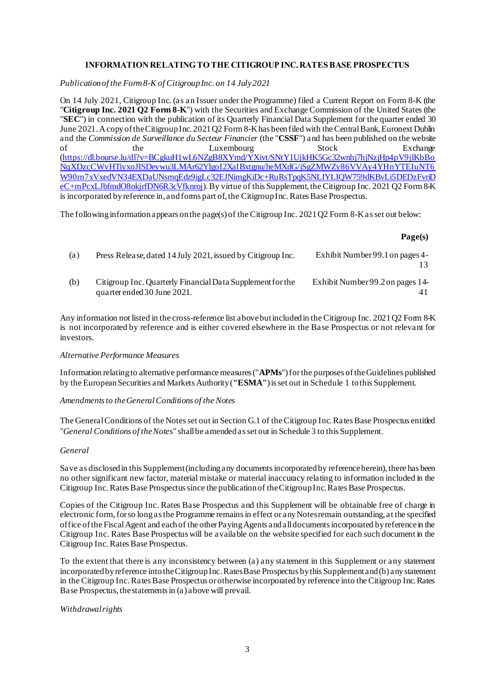# **INFORMATION RELATING TO THE CITIGROUP INC. RATES BASE PROSPECTUS**

*Publication of the Form 8-K of Citigroup Inc. on 14 July 2021*

On 14 July 2021, Citigroup Inc. (as an Issuer under the Programme) filed a Current Report on Form 8-K (the "**Citigroup Inc. 2021 Q2 Form 8-K**") with the Securities and Exchange Commission of the United States (the "**SEC**") in connection with the publication of its Quarterly Financial Data Supplement for the quarter ended 30 June 2021. A copy of the Citigroup Inc. 2021 Q2 Form 8-Khas been filed with the Central Bank, Euronext Dublin and the *Commission de Surveillance du Secteur Financier* (the "**CSSF**") and has been published on the website of the Luxembourg Stock Exchange [\(https://dl.bourse.lu/dl?v=BCgkuH1wL6NZgB8XYmd/YXivt/SNtY1UjkHK5Gc32wnhj7hjNzjHp4pV9jlKbBo](https://dl.bourse.lu/dl?v=BCgkuH1wL6NZgB8XYmd/YXivt/SNtY1UjkHK5Gc32wnhj7hjNzjHp4pV9jlKbBoNqXDzcCWvHTiyxoJISDeywu3LMAr62YlgoI2XaIBxtgnu/heMXdG/jSgZMWZy86VVAy4YHnYTEIuNT6W90rn7xVxedVN34EXDaUNsmqEdz9igLc32EJNimgKiDc+RuRsTpqK5NLIYLIQW759dKBvLi5DEDzFvriDeC+mPcxLJbfmdO8okjrfDN6R3cVfknroj) NgXDzcCWvHTiyxoJISDeywu3LMAr62YlgoI2XaIBxtgnu/heMXdG/jSgZMWZy86VVAy4YHnYTEIuNT6 [W90rn7xVxedVN34EXDaUNsmqEdz9igLc32EJNimgKiDc+RuRsTpqK5NLIYLIQW759dKBvLi5DEDzFvriD](https://dl.bourse.lu/dl?v=BCgkuH1wL6NZgB8XYmd/YXivt/SNtY1UjkHK5Gc32wnhj7hjNzjHp4pV9jlKbBoNqXDzcCWvHTiyxoJISDeywu3LMAr62YlgoI2XaIBxtgnu/heMXdG/jSgZMWZy86VVAy4YHnYTEIuNT6W90rn7xVxedVN34EXDaUNsmqEdz9igLc32EJNimgKiDc+RuRsTpqK5NLIYLIQW759dKBvLi5DEDzFvriDeC+mPcxLJbfmdO8okjrfDN6R3cVfknroj) [eC+mPcxLJbfmdO8okjrfDN6R3cVfknroj](https://dl.bourse.lu/dl?v=BCgkuH1wL6NZgB8XYmd/YXivt/SNtY1UjkHK5Gc32wnhj7hjNzjHp4pV9jlKbBoNqXDzcCWvHTiyxoJISDeywu3LMAr62YlgoI2XaIBxtgnu/heMXdG/jSgZMWZy86VVAy4YHnYTEIuNT6W90rn7xVxedVN34EXDaUNsmqEdz9igLc32EJNimgKiDc+RuRsTpqK5NLIYLIQW759dKBvLi5DEDzFvriDeC+mPcxLJbfmdO8okjrfDN6R3cVfknroj)). By virtue of this Supplement, the Citigroup Inc. 2021 Q2 Form 8-K is incorporated by reference in, and forms part of, the Citigroup Inc. Rates Base Prospectus.

The following information appears on the page(s) of the Citigroup Inc. 2021 Q2 Form 8-Kas set out below:

#### **Page(s)**

| (a) | Press Release, dated 14 July 2021, issued by Citigroup Inc.                               | Exhibit Number 99.1 on pages 4-  |
|-----|-------------------------------------------------------------------------------------------|----------------------------------|
| (b) | Citigroup Inc. Quarterly Financial Data Supplement for the<br>quarter ended 30 June 2021. | Exhibit Number 99.2 on pages 14- |

Any information not listed in the cross-reference list above but included in the Citigroup Inc. 2021 Q2 Form 8-K is not incorporated by reference and is either covered elsewhere in the Base Prospectus or not relevant for investors.

#### *Alternative Performance Measures*

Information relating to alternative performance measures ("**APMs**") for the purposes of the Guidelines published by the European Securities and Markets Authority (**"ESMA"**) is set out in Schedule 1 to this Supplement.

### *Amendments to the General Conditions of the Notes*

The General Conditions of the Notes set out in Section G.1 of the Citigroup Inc. Rates Base Prospectus entitled "*General Conditions of the Notes*" shall be amended as set out in Schedule 3 to this Supplement.

#### *General*

Save as disclosed in this Supplement (including any documents incorporated by reference herein), there has been no other significant new factor, material mistake or material inaccuracy relating to information included in the Citigroup Inc. Rates Base Prospectus since the publication of the Citigroup Inc. Rates Base Prospectus.

Copies of the Citigroup Inc. Rates Base Prospectus and this Supplement will be obtainable free of charge in electronic form, for so long as the Programme remains in effect or any Notes remain outstanding, at the specified office of the Fiscal Agent and each of the other Paying Agents and all documents incorporated by reference in the Citigroup Inc. Rates Base Prospectus will be available on the website specified for each such document in the Citigroup Inc. Rates Base Prospectus.

To the extent that there is any inconsistency between (a) any statement in this Supplement or any statement incorporated by reference into the Citigroup Inc. Rates Base Prospectus by this Supplement and (b) any statement in the Citigroup Inc. Rates Base Prospectus or otherwise incorporated by reference into the Citigroup Inc. Rates Base Prospectus, the statements in (a) above will prevail.

*Withdrawal rights*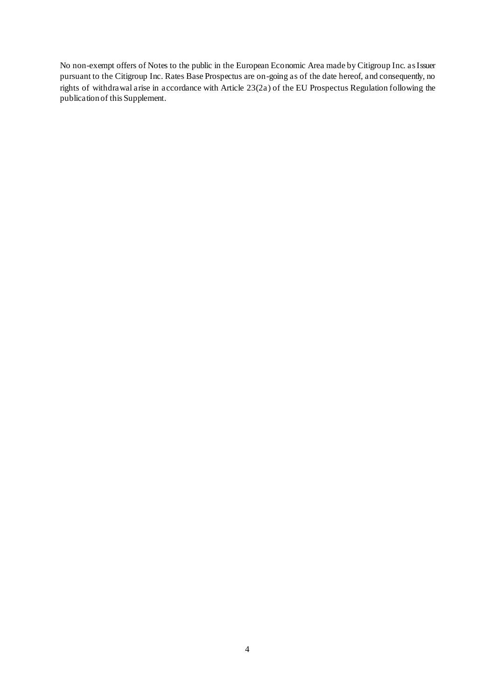No non-exempt offers of Notes to the public in the European Economic Area made by Citigroup Inc. as Issuer pursuant to the Citigroup Inc. Rates Base Prospectus are on-going as of the date hereof, and consequently, no rights of withdrawal arise in accordance with Article 23(2a) of the EU Prospectus Regulation following the publication of this Supplement.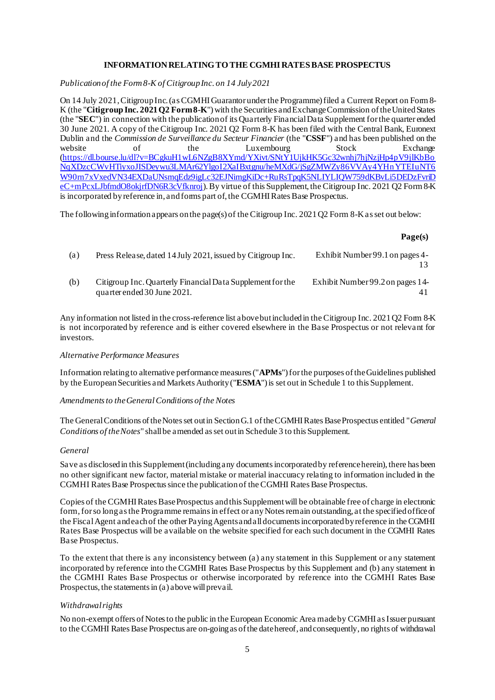# **INFORMATION RELATING TO THE CGMHI RATES BASE PROSPECTUS**

*Publication of the Form 8-K of Citigroup Inc. on 14 July 2021*

On 14 July 2021, Citigroup Inc. (as CGMHI Guarantor under the Programme) filed a Current Report on Form 8- K (the "**Citigroup Inc. 2021 Q2 Form 8-K**") with the Securities and Exchange Commission of the United States (the "**SEC**") in connection with the publication of its Quarterly Financial Data Supplement for the quarter ended 30 June 2021. A copy of the Citigroup Inc. 2021 Q2 Form 8-K has been filed with the Central Bank, Euronext Dublin and the *Commission de Surveillance du Secteur Financier* (the "**CSSF**") and has been published on the website of the Luxembourg Stock Exchange [\(https://dl.bourse.lu/dl?v=BCgkuH1wL6NZgB8XYmd/YXivt/SNtY1UjkHK5Gc32wnhj7hjNzjHp4pV9jlKbBo](https://dl.bourse.lu/dl?v=BCgkuH1wL6NZgB8XYmd/YXivt/SNtY1UjkHK5Gc32wnhj7hjNzjHp4pV9jlKbBoNqXDzcCWvHTiyxoJISDeywu3LMAr62YlgoI2XaIBxtgnu/heMXdG/jSgZMWZy86VVAy4YHnYTEIuNT6W90rn7xVxedVN34EXDaUNsmqEdz9igLc32EJNimgKiDc+RuRsTpqK5NLIYLIQW759dKBvLi5DEDzFvriDeC+mPcxLJbfmdO8okjrfDN6R3cVfknroj) NgXDzcCWvHTiyxoJISDeywu3LMAr62YlgoI2XaIBxtgnu/heMXdG/jSgZMWZy86VVAy4YHnYTEIuNT6 [W90rn7xVxedVN34EXDaUNsmqEdz9igLc32EJNimgKiDc+RuRsTpqK5NLIYLIQW759dKBvLi5DEDzFvriD](https://dl.bourse.lu/dl?v=BCgkuH1wL6NZgB8XYmd/YXivt/SNtY1UjkHK5Gc32wnhj7hjNzjHp4pV9jlKbBoNqXDzcCWvHTiyxoJISDeywu3LMAr62YlgoI2XaIBxtgnu/heMXdG/jSgZMWZy86VVAy4YHnYTEIuNT6W90rn7xVxedVN34EXDaUNsmqEdz9igLc32EJNimgKiDc+RuRsTpqK5NLIYLIQW759dKBvLi5DEDzFvriDeC+mPcxLJbfmdO8okjrfDN6R3cVfknroj) [eC+mPcxLJbfmdO8okjrfDN6R3cVfknroj](https://dl.bourse.lu/dl?v=BCgkuH1wL6NZgB8XYmd/YXivt/SNtY1UjkHK5Gc32wnhj7hjNzjHp4pV9jlKbBoNqXDzcCWvHTiyxoJISDeywu3LMAr62YlgoI2XaIBxtgnu/heMXdG/jSgZMWZy86VVAy4YHnYTEIuNT6W90rn7xVxedVN34EXDaUNsmqEdz9igLc32EJNimgKiDc+RuRsTpqK5NLIYLIQW759dKBvLi5DEDzFvriDeC+mPcxLJbfmdO8okjrfDN6R3cVfknroj)). By virtue of this Supplement, the Citigroup Inc. 2021 Q2 Form 8-K is incorporated by reference in, and forms part of, the CGMHI Rates Base Prospectus.

The following information appears on the page(s) of the Citigroup Inc. 2021 Q2 Form 8-Kas set out below:

#### **Page(s)**

| (a) | Press Release, dated 14 July 2021, issued by Citigroup Inc.                               | Exhibit Number 99.1 on pages 4-  |
|-----|-------------------------------------------------------------------------------------------|----------------------------------|
| (b) | Citigroup Inc. Quarterly Financial Data Supplement for the<br>quarter ended 30 June 2021. | Exhibit Number 99.2 on pages 14- |

Any information not listed in the cross-reference list above but included in the Citigroup Inc. 2021 Q2 Form 8-K is not incorporated by reference and is either covered elsewhere in the Base Prospectus or not relevant for investors.

#### *Alternative Performance Measures*

Information relating to alternative performance measures ("**APMs**") for the purposes of the Guidelines published by the European Securities and Markets Authority ("**ESMA**") is set out in Schedule 1 to this Supplement.

### *Amendments to the General Conditions of the Notes*

The General Conditions of the Notes set out in Section G.1 of the CGMHI Rates Base Prospectus entitled "*General Conditions of the Notes*" shall be amended as set out in Schedule 3 to this Supplement.

#### *General*

Save as disclosed in this Supplement (including any documents incorporated by reference herein), there has been no other significant new factor, material mistake or material inaccuracy relating to information included in the CGMHI Rates Base Prospectus since the publication of the CGMHI Rates Base Prospectus.

Copies of the CGMHI Rates Base Prospectus and this Supplement will be obtainable free of charge in electronic form, for so long as the Programme remains in effect or any Notes remain outstanding, at the specified office of the Fiscal Agent and each of the other Paying Agents and all documents incorporated by reference in the CGMHI Rates Base Prospectus will be available on the website specified for each such document in the CGMHI Rates Base Prospectus.

To the extent that there is any inconsistency between (a) any statement in this Supplement or any statement incorporated by reference into the CGMHI Rates Base Prospectus by this Supplement and (b) any statement in the CGMHI Rates Base Prospectus or otherwise incorporated by reference into the CGMHI Rates Base Prospectus, the statements in (a) above will prevail.

### *Withdrawal rights*

No non-exempt offers of Notes to the public in the European Economic Area made by CGMHI as Issuer pursuant to the CGMHI Rates Base Prospectus are on-going as of the date hereof, and consequently, no rights of withdrawal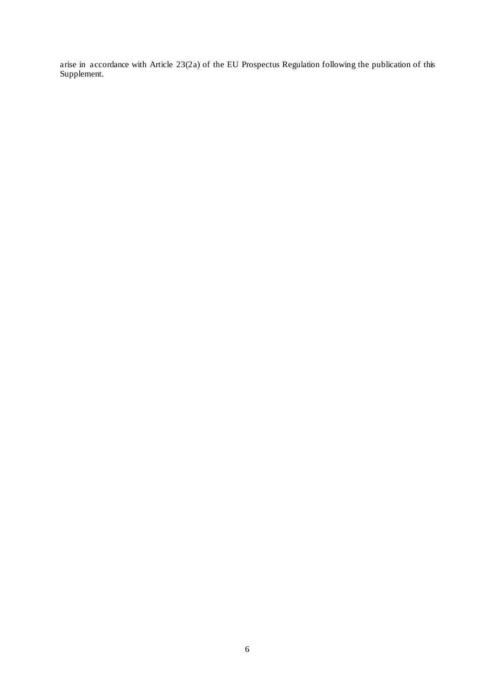arise in accordance with Article 23(2a) of the EU Prospectus Regulation following the publication of this Supplement.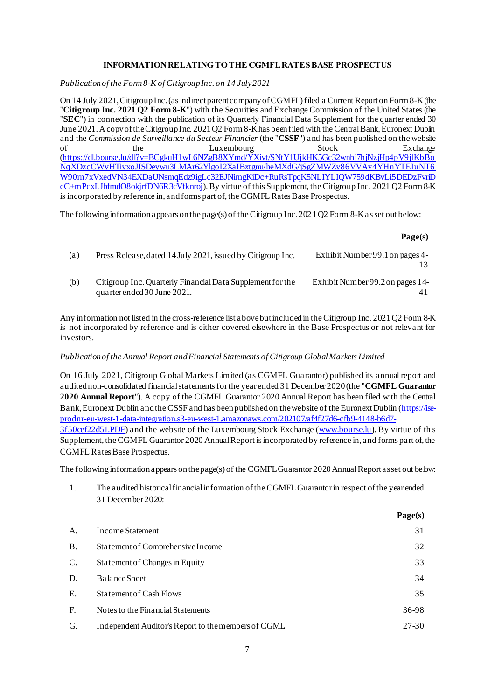# **INFORMATION RELATING TO THE CGMFL RATES BASE PROSPECTUS**

*Publication of the Form 8-K of Citigroup Inc. on 14 July 2021*

On 14 July 2021, Citigroup Inc. (as indirect parent company of CGMFL) filed a Current Report on Form 8-K(the "**Citigroup Inc. 2021 Q2 Form 8-K**") with the Securities and Exchange Commission of the United States (the "**SEC**") in connection with the publication of its Quarterly Financial Data Supplement for the quarter ended 30 June 2021. A copy of the Citigroup Inc. 2021 Q2 Form 8-Khas been filed with the Central Bank, Euronext Dublin and the *Commission de Surveillance du Secteur Financier* (the "**CSSF**") and has been published on the website of the Luxembourg Stock Exchange [\(https://dl.bourse.lu/dl?v=BCgkuH1wL6NZgB8XYmd/YXivt/SNtY1UjkHK5Gc32wnhj7hjNzjHp4pV9jlKbBo](https://dl.bourse.lu/dl?v=BCgkuH1wL6NZgB8XYmd/YXivt/SNtY1UjkHK5Gc32wnhj7hjNzjHp4pV9jlKbBoNqXDzcCWvHTiyxoJISDeywu3LMAr62YlgoI2XaIBxtgnu/heMXdG/jSgZMWZy86VVAy4YHnYTEIuNT6W90rn7xVxedVN34EXDaUNsmqEdz9igLc32EJNimgKiDc+RuRsTpqK5NLIYLIQW759dKBvLi5DEDzFvriDeC+mPcxLJbfmdO8okjrfDN6R3cVfknroj) NgXDzcCWvHTiyxoJISDeywu3LMAr62YlgoI2XaIBxtgnu/heMXdG/jSgZMWZy86VVAy4YHnYTEIuNT6 [W90rn7xVxedVN34EXDaUNsmqEdz9igLc32EJNimgKiDc+RuRsTpqK5NLIYLIQW759dKBvLi5DEDzFvriD](https://dl.bourse.lu/dl?v=BCgkuH1wL6NZgB8XYmd/YXivt/SNtY1UjkHK5Gc32wnhj7hjNzjHp4pV9jlKbBoNqXDzcCWvHTiyxoJISDeywu3LMAr62YlgoI2XaIBxtgnu/heMXdG/jSgZMWZy86VVAy4YHnYTEIuNT6W90rn7xVxedVN34EXDaUNsmqEdz9igLc32EJNimgKiDc+RuRsTpqK5NLIYLIQW759dKBvLi5DEDzFvriDeC+mPcxLJbfmdO8okjrfDN6R3cVfknroj) [eC+mPcxLJbfmdO8okjrfDN6R3cVfknroj](https://dl.bourse.lu/dl?v=BCgkuH1wL6NZgB8XYmd/YXivt/SNtY1UjkHK5Gc32wnhj7hjNzjHp4pV9jlKbBoNqXDzcCWvHTiyxoJISDeywu3LMAr62YlgoI2XaIBxtgnu/heMXdG/jSgZMWZy86VVAy4YHnYTEIuNT6W90rn7xVxedVN34EXDaUNsmqEdz9igLc32EJNimgKiDc+RuRsTpqK5NLIYLIQW759dKBvLi5DEDzFvriDeC+mPcxLJbfmdO8okjrfDN6R3cVfknroj)). By virtue of this Supplement, the Citigroup Inc. 2021 Q2 Form 8-K is incorporated by reference in, and forms part of, the CGMFL Rates Base Prospectus.

The following information appears on the page(s) of the Citigroup Inc. 2021 Q2 Form 8-K as set out below:

#### **Page(s)**

**Page(s)**

| (a) | Press Release, dated 14 July 2021, issued by Citigroup Inc.                               | Exhibit Number 99.1 on pages 4-  |
|-----|-------------------------------------------------------------------------------------------|----------------------------------|
| (b) | Citigroup Inc. Quarterly Financial Data Supplement for the<br>quarter ended 30 June 2021. | Exhibit Number 99.2 on pages 14- |

Any information not listed in the cross-reference list above but included in the Citigroup Inc. 2021 Q2 Form 8-K is not incorporated by reference and is either covered elsewhere in the Base Prospectus or not relevant for investors.

#### *Publication of the Annual Report and Financial Statements of Citigroup Global Markets Limited*

On 16 July 2021, Citigroup Global Markets Limited (as CGMFL Guarantor) published its annual report and audited non-consolidated financial statements for the year ended 31 December 2020 (the "**CGMFL Guarantor 2020 Annual Report**"). A copy of the CGMFL Guarantor 2020 Annual Report has been filed with the Central Bank, Euronext Dublin and the CSSF and has been published on the website of the Euronext Dublin [\(https://ise](https://ise-prodnr-eu-west-1-data-integration.s3-eu-west-1.amazonaws.com/202107/af4f27d6-cfb9-4148-b6d7-3f50cef22d51.PDF)[prodnr-eu-west-1-data-integration.s3-eu-west-1.amazonaws.com/202107/af4f27d6-cfb9-4148-b6d7-](https://ise-prodnr-eu-west-1-data-integration.s3-eu-west-1.amazonaws.com/202107/af4f27d6-cfb9-4148-b6d7-3f50cef22d51.PDF) [3f50cef22d51.PDF\)](https://ise-prodnr-eu-west-1-data-integration.s3-eu-west-1.amazonaws.com/202107/af4f27d6-cfb9-4148-b6d7-3f50cef22d51.PDF) and the website of the Luxembourg Stock Exchange [\(www.bourse.lu](http://www.bourse.lu/)). By virtue of this Supplement, the CGMFL Guarantor 2020 Annual Report is incorporated by reference in, and forms part of, the CGMFL Rates Base Prospectus.

The following information appears on the page(s) of the CGMFL Guarantor 2020 Annual Report as set out below:

1. The audited historical financial information of the CGMFL Guarantor in respect of the year ended 31 December 2020:

|                |                                                     | $ \mathbf{u}$ $\mathbf{v}$ $(0)$ |
|----------------|-----------------------------------------------------|----------------------------------|
| A.             | <b>Income Statement</b>                             | 31                               |
| <b>B.</b>      | Statement of Comprehensive Income                   | 32                               |
| $\mathbf{C}$ . | <b>Statement of Changes in Equity</b>               | 33                               |
| D.             | Balance Sheet                                       | 34                               |
| Ε.             | <b>Statement of Cash Flows</b>                      | 35                               |
| F.             | Notes to the Financial Statements                   | 36-98                            |
| G.             | Independent Auditor's Report to the members of CGML | 27-30                            |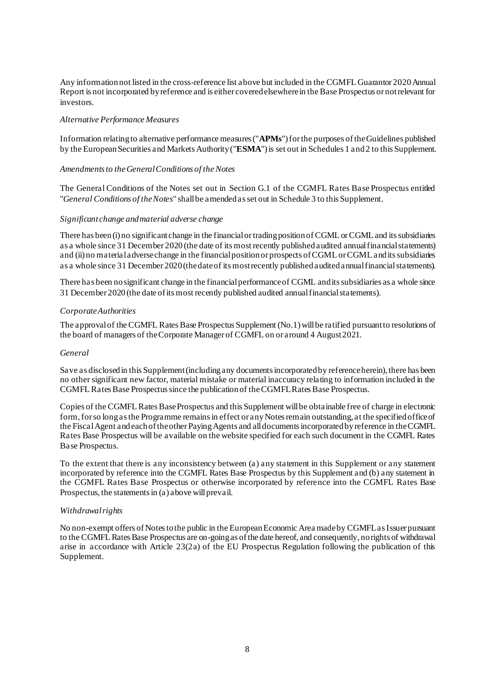Any information not listed in the cross-reference list above but included in the CGMFL Guarantor 2020 Annual Report is not incorporated by reference and is either covered elsewhere in the Base Prospectus or not relevant for investors.

### *Alternative Performance Measures*

Information relating to alternative performance measures ("**APMs**") for the purposes of the Guidelines published by the European Securities and Markets Authority ("**ESMA**") is set out in Schedules 1 and2 to this Supplement.

### *Amendments to the General Conditions of the Notes*

The General Conditions of the Notes set out in Section G.1 of the CGMFL Rates Base Prospectus entitled "*General Conditions of the Notes*" shall be amended as set out in Schedule 3 to this Supplement.

#### *Significant change and material adverse change*

There has been (i) no significant change in the financial or trading position of CGML or CGML and its subsidiaries as a whole since 31 December 2020 (the date of its most recently published audited annual financial statements) and (ii) no material adverse change in the financial position or prospects of CGML or CGML and its subsidiaries as a whole since 31 December 2020 (the date of its most recently published audited annual financial statements).

There has been no significant change in the financial performance of CGML and its subsidiaries as a whole since 31 December 2020 (the date of its most recently published audited annual financial statements).

#### *Corporate Authorities*

The approval of the CGMFL Rates Base Prospectus Supplement (No.1) will be ratified pursuant to resolutions of the board of managers of the Corporate Manager of CGMFL on or around 4 August 2021.

#### *General*

Save as disclosed in this Supplement (including any documents incorporated by reference herein), there has been no other significant new factor, material mistake or material inaccuracy relating to information included in the CGMFL Rates Base Prospectus since the publication of the CGMFL Rates Base Prospectus.

Copies of the CGMFL Rates Base Prospectus and this Supplement will be obtainable free of charge in electronic form, for so long as the Programme remains in effect or any Notes remain outstanding, at the specified office of the Fiscal Agent and each of the other Paying Agents and all documents incorporated by reference in the CGMFL Rates Base Prospectus will be available on the website specified for each such document in the CGMFL Rates Base Prospectus.

To the extent that there is any inconsistency between (a) any statement in this Supplement or any statement incorporated by reference into the CGMFL Rates Base Prospectus by this Supplement and (b) any statement in the CGMFL Rates Base Prospectus or otherwise incorporated by reference into the CGMFL Rates Base Prospectus, the statements in (a) above will prevail.

#### *Withdrawal rights*

No non-exempt offers of Notes to the public in the European Economic Area made by CGMFL as Issuer pursuant to the CGMFL Rates Base Prospectus are on-going as of the date hereof, and consequently, no rights of withdrawal arise in accordance with Article 23(2a) of the EU Prospectus Regulation following the publication of this Supplement.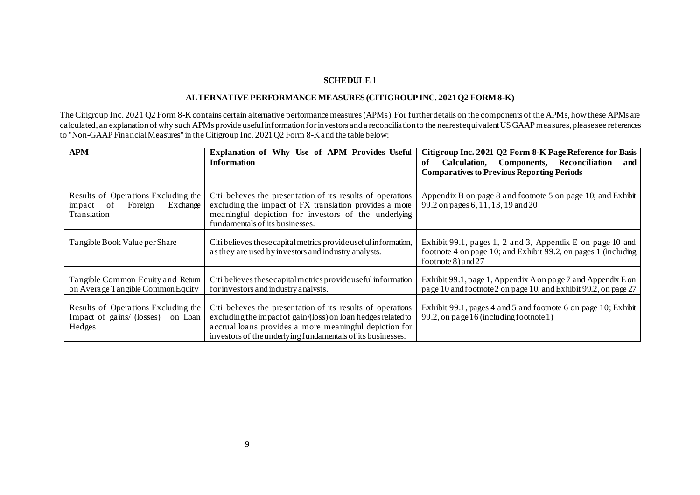# **SCHEDULE 1**

# **ALTERNATIVE PERFORMANCE MEASURES (CITIGROUP INC. 2021 Q2 FORM8-K)**

The Citigroup Inc. 2021 Q2 Form 8-K contains certain alternative performance measures (APMs). For further details on the components of the APMs, how these APMs are calculated, an explanation of why such APMs provide useful information for investors and a reconciliation to the nearest equivalent US GAAP measures, please see references to "Non-GAAP Financial Measures" in the Citigroup Inc. 2021 Q2 Form 8-K and the table below:

| <b>APM</b>                                                                             | Explanation of Why Use of APM Provides Useful<br><b>Information</b>                                                                                                                                                                                   | Citigroup Inc. 2021 Q2 Form 8-K Page Reference for Basis<br>Calculation, Components, Reconciliation<br>of<br>and<br><b>Comparatives to Previous Reporting Periods</b> |
|----------------------------------------------------------------------------------------|-------------------------------------------------------------------------------------------------------------------------------------------------------------------------------------------------------------------------------------------------------|-----------------------------------------------------------------------------------------------------------------------------------------------------------------------|
| Results of Operations Excluding the<br>Foreign<br>Exchange<br>impact of<br>Translation | Citi believes the presentation of its results of operations<br>excluding the impact of FX translation provides a more<br>meaningful depiction for investors of the underlying<br>fundamentals of its businesses.                                      | Appendix B on page 8 and footnote 5 on page 10; and Exhibit<br>99.2 on pages 6, 11, 13, 19 and 20                                                                     |
| Tangible Book Value per Share                                                          | Citi believes these capital metrics provide usef ul information,<br>as they are used by investors and industry analysts.                                                                                                                              | Exhibit 99.1, pages 1, 2 and 3, Appendix E on page 10 and<br>footnote 4 on page 10; and Exhibit 99.2, on pages 1 (including<br>footnote $8$ ) and $27$                |
| Tangible Common Equity and Retum<br>on Average Tangible Common Equity                  | Citi believes these capital metrics provide useful information<br>for investors and industry analysts.                                                                                                                                                | Exhibit 99.1, page 1, Appendix A on page 7 and Appendix E on<br>page 10 and footnote 2 on page 10; and Exhibit 99.2, on page 27                                       |
| Results of Operations Excluding the<br>Impact of gains/ (losses) on Loan<br>Hedges     | Citi believes the presentation of its results of operations<br>excluding the impact of gain/(loss) on loan hedges related to<br>accrual loans provides a more meaningful depiction for<br>investors of the underlying fundamentals of its businesses. | Exhibit 99.1, pages 4 and 5 and footnote 6 on page 10; Exhibit<br>99.2, on page 16 (including footnote 1)                                                             |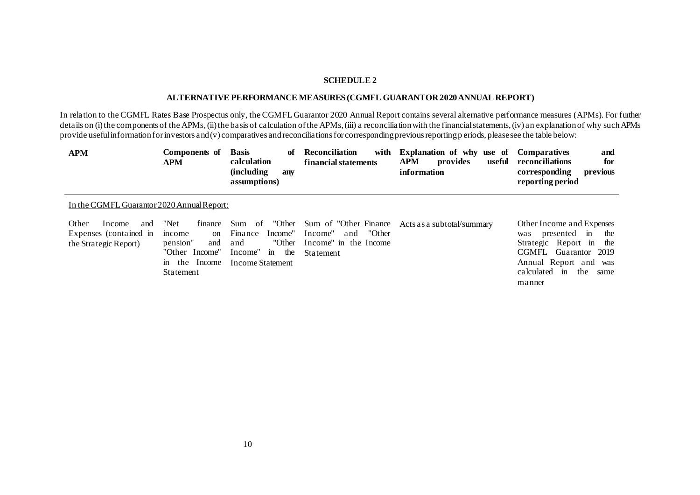# **SCHEDULE 2**

# **ALTERNATIVE PERFORMANCE MEASURES (CGMFL GUARANTOR 2020 ANNUAL REPORT)**

In relation to the CGMFL Rates Base Prospectus only, the CGMFL Guarantor 2020 Annual Report contains several alternative performance measures (APMs). For further details on (i) the components of the APMs, (ii) the basis of calculation of the APMs, (iii) a reconciliation with the financial statements, (iv) an explanation of why such APMs provide useful information for investors and  $(v)$  comparatives and reconciliations for corresponding previous reporting p eriods, please see the table below:

| <b>APM</b>                                                                | Components of<br><b>APM</b>                                                                                          | <b>Basis</b><br>of<br>calculation<br><i>(including)</i><br>anv<br>assumptions)                             | <b>Reconciliation</b><br>with<br>financial statements                                           | Explanation of why use of<br><b>APM</b><br>provides<br>useful<br>information | <b>Comparatives</b><br>and<br>reconciliations<br>for<br>corresponding<br>previous<br>reporting period                                                                      |  |
|---------------------------------------------------------------------------|----------------------------------------------------------------------------------------------------------------------|------------------------------------------------------------------------------------------------------------|-------------------------------------------------------------------------------------------------|------------------------------------------------------------------------------|----------------------------------------------------------------------------------------------------------------------------------------------------------------------------|--|
| In the CGMFL Guarantor 2020 Annual Report:                                |                                                                                                                      |                                                                                                            |                                                                                                 |                                                                              |                                                                                                                                                                            |  |
| Other<br>Income<br>and<br>Expenses (contained in<br>the Strategic Report) | "Net<br>finance<br>income<br><sub>on</sub><br>pension"<br>and<br>"Other Income"<br>in the Income<br><b>Statement</b> | "Other<br>Sum of<br>Finance<br>Income"<br>"Other<br>and<br>Income"<br>in<br>the<br><b>Income Statement</b> | Sum of "Other Finance"<br>"Other<br>Income"<br>and<br>Income" in the Income<br><b>Statement</b> | Acts as a subtotal/summary                                                   | Other Income and Expenses<br>was presented in<br>the<br>Strategic Report in the<br>CGMFL Guarantor 2019<br>Annual Report and was<br>the<br>calculated in<br>same<br>manner |  |